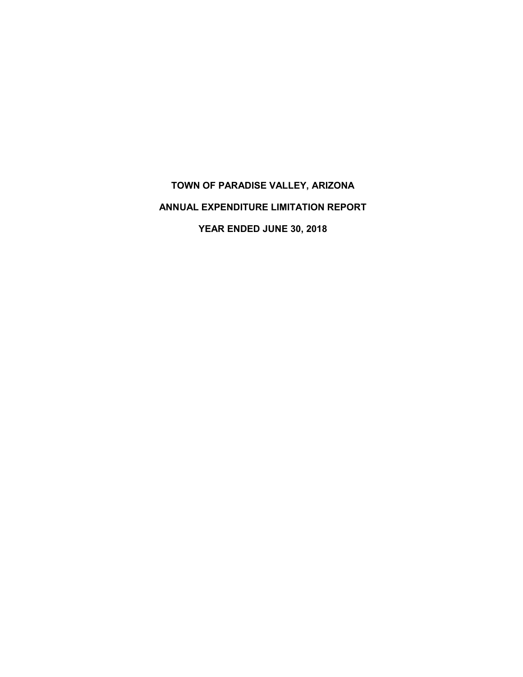# **TOWN OF PARADISE VALLEY, ARIZONA ANNUAL EXPENDITURE LIMITATION REPORT YEAR ENDED JUNE 30, 2018**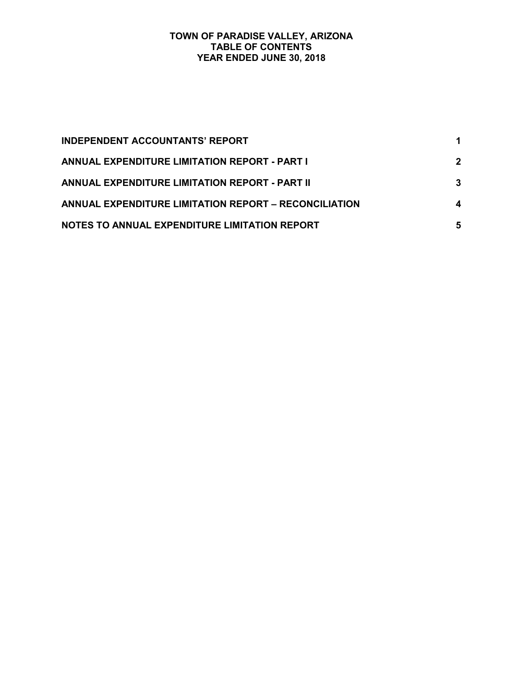#### **TOWN OF PARADISE VALLEY, ARIZONA TABLE OF CONTENTS YEAR ENDED JUNE 30, 2018**

| <b>INDEPENDENT ACCOUNTANTS' REPORT</b>                |             |
|-------------------------------------------------------|-------------|
| <b>ANNUAL EXPENDITURE LIMITATION REPORT - PART I</b>  | $\mathbf 2$ |
| ANNUAL EXPENDITURE LIMITATION REPORT - PART II        | 3           |
| ANNUAL EXPENDITURE LIMITATION REPORT - RECONCILIATION | 4           |
| NOTES TO ANNUAL EXPENDITURE LIMITATION REPORT         | 5           |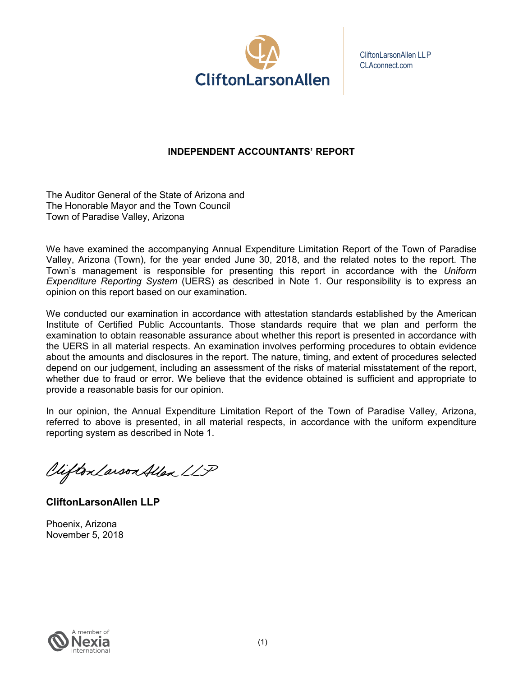

CliftonLarsonAllen LLP CLAconnect.com

# **INDEPENDENT ACCOUNTANTS' REPORT**

The Auditor General of the State of Arizona and The Honorable Mayor and the Town Council Town of Paradise Valley, Arizona

We have examined the accompanying Annual Expenditure Limitation Report of the Town of Paradise Valley, Arizona (Town), for the year ended June 30, 2018, and the related notes to the report. The Town's management is responsible for presenting this report in accordance with the *Uniform Expenditure Reporting System* (UERS) as described in Note 1. Our responsibility is to express an opinion on this report based on our examination.

We conducted our examination in accordance with attestation standards established by the American Institute of Certified Public Accountants. Those standards require that we plan and perform the examination to obtain reasonable assurance about whether this report is presented in accordance with the UERS in all material respects. An examination involves performing procedures to obtain evidence about the amounts and disclosures in the report. The nature, timing, and extent of procedures selected depend on our judgement, including an assessment of the risks of material misstatement of the report, whether due to fraud or error. We believe that the evidence obtained is sufficient and appropriate to provide a reasonable basis for our opinion.

In our opinion, the Annual Expenditure Limitation Report of the Town of Paradise Valley, Arizona, referred to above is presented, in all material respects, in accordance with the uniform expenditure reporting system as described in Note 1.

Viifton Larson Allen LLP

**CliftonLarsonAllen LLP**

Phoenix, Arizona November 5, 2018

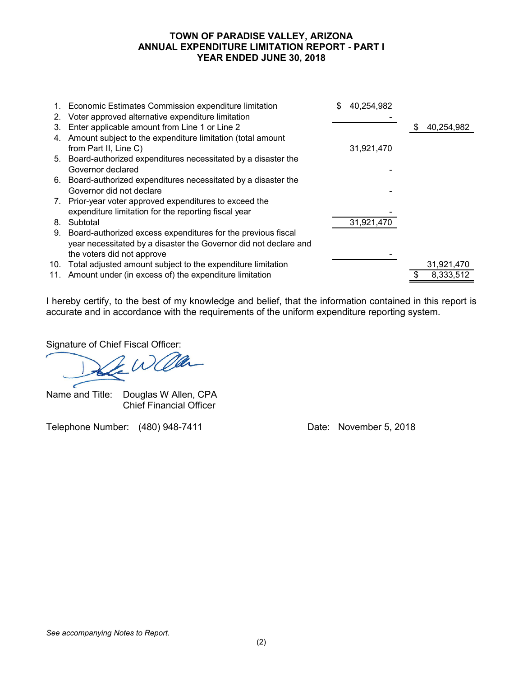#### **TOWN OF PARADISE VALLEY, ARIZONA ANNUAL EXPENDITURE LIMITATION REPORT - PART I YEAR ENDED JUNE 30, 2018**

| 2. | 1. Economic Estimates Commission expenditure limitation<br>Voter approved alternative expenditure limitation | 40,254,982 |   |            |
|----|--------------------------------------------------------------------------------------------------------------|------------|---|------------|
| 3. | Enter applicable amount from Line 1 or Line 2                                                                |            | S | 40,254,982 |
|    | 4. Amount subject to the expenditure limitation (total amount                                                |            |   |            |
|    | from Part II, Line C)                                                                                        | 31,921,470 |   |            |
|    | 5. Board-authorized expenditures necessitated by a disaster the                                              |            |   |            |
|    | Governor declared                                                                                            |            |   |            |
|    | 6. Board-authorized expenditures necessitated by a disaster the                                              |            |   |            |
|    | Governor did not declare                                                                                     |            |   |            |
|    | 7. Prior-year voter approved expenditures to exceed the                                                      |            |   |            |
|    | expenditure limitation for the reporting fiscal year                                                         |            |   |            |
| 8. | Subtotal                                                                                                     | 31,921,470 |   |            |
| 9. | Board-authorized excess expenditures for the previous fiscal                                                 |            |   |            |
|    | year necessitated by a disaster the Governor did not declare and                                             |            |   |            |
|    | the voters did not approve                                                                                   |            |   |            |
|    | 10. Total adjusted amount subject to the expenditure limitation                                              |            |   | 31,921,470 |
|    | 11. Amount under (in excess of) the expenditure limitation                                                   |            |   | 8,333,512  |

I hereby certify, to the best of my knowledge and belief, that the information contained in this report is accurate and in accordance with the requirements of the uniform expenditure reporting system.

Signature of Chief Fiscal Officer:

Name and Title: Douglas W Allen, CPA Chief Financial Officer

Telephone Number: (480) 948-7411 Date: November 5, 2018

*See accompanying Notes to Report.*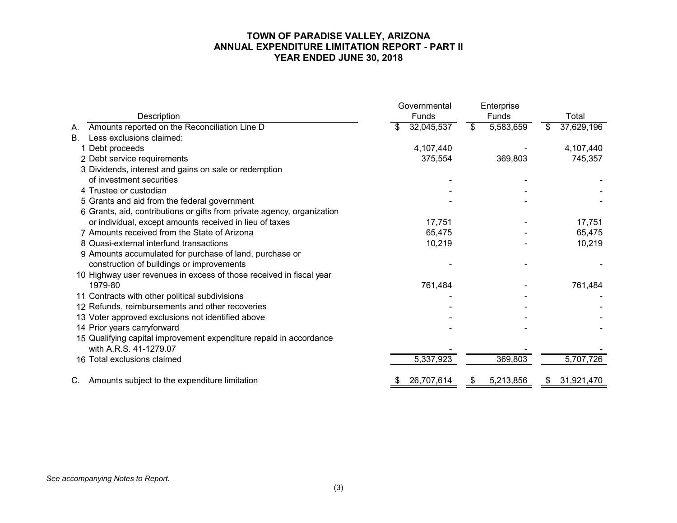#### **TOWN OF PARADISE VALLEY, ARIZONA ANNUAL EXPENDITURE LIMITATION REPORT - PART II YEAR ENDED JUNE 30, 2018**

| Description                                                             | Governmental<br>Funds | Enterprise<br>Funds                    | Total            |
|-------------------------------------------------------------------------|-----------------------|----------------------------------------|------------------|
| Amounts reported on the Reconciliation Line D<br>А.                     | 32,045,537            | $\boldsymbol{\mathsf{S}}$<br>5,583,659 | 37,629,196<br>\$ |
| Less exclusions claimed:<br>Β.                                          |                       |                                        |                  |
| 1 Debt proceeds                                                         | 4,107,440             |                                        | 4,107,440        |
| 2 Debt service requirements                                             | 375,554               | 369,803                                | 745,357          |
| 3 Dividends, interest and gains on sale or redemption                   |                       |                                        |                  |
| of investment securities                                                |                       |                                        |                  |
| 4 Trustee or custodian                                                  |                       |                                        |                  |
| 5 Grants and aid from the federal government                            |                       |                                        |                  |
| 6 Grants, aid, contributions or gifts from private agency, organization |                       |                                        |                  |
| or individual, except amounts received in lieu of taxes                 | 17,751                |                                        | 17,751           |
| 7 Amounts received from the State of Arizona                            | 65,475                |                                        | 65,475           |
| 8 Quasi-external interfund transactions                                 | 10,219                |                                        | 10,219           |
| 9 Amounts accumulated for purchase of land, purchase or                 |                       |                                        |                  |
| construction of buildings or improvements                               |                       |                                        |                  |
| 10 Highway user revenues in excess of those received in fiscal year     |                       |                                        |                  |
| 1979-80                                                                 | 761,484               |                                        | 761,484          |
| 11 Contracts with other political subdivisions                          |                       |                                        |                  |
| 12 Refunds, reimbursements and other recoveries                         |                       |                                        |                  |
| 13 Voter approved exclusions not identified above                       |                       |                                        |                  |
| 14 Prior years carryforward                                             |                       |                                        |                  |
| 15 Qualifying capital improvement expenditure repaid in accordance      |                       |                                        |                  |
| with A.R.S. 41-1279.07                                                  |                       |                                        |                  |
| 16 Total exclusions claimed                                             | 5,337,923             | 369,803                                | 5,707,726        |
| Amounts subject to the expenditure limitation<br>C.                     | 26,707,614<br>\$      | 5,213,856<br>\$                        | 31,921,470<br>\$ |

*See accompanying Notes to Report.*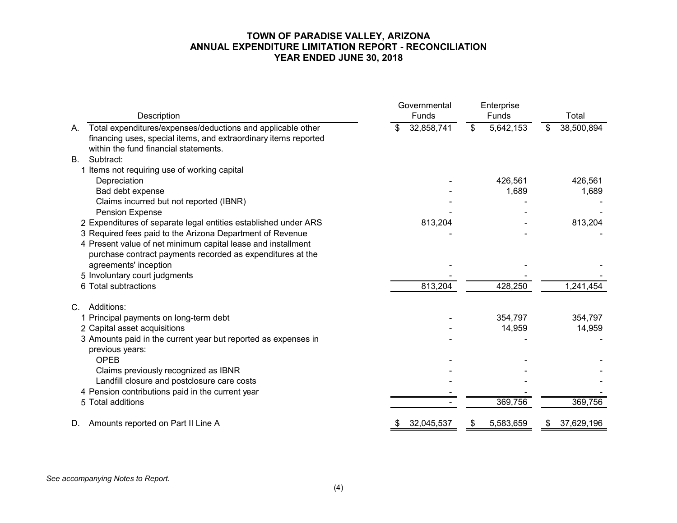#### **TOWN OF PARADISE VALLEY, ARIZONA ANNUAL EXPENDITURE LIMITATION REPORT - RECONCILIATION YEAR ENDED JUNE 30, 2018**

| Description                                                                                                                                                                   | Governmental<br>Funds | Enterprise<br><b>Funds</b> | Total            |  |
|-------------------------------------------------------------------------------------------------------------------------------------------------------------------------------|-----------------------|----------------------------|------------------|--|
| Total expenditures/expenses/deductions and applicable other<br>А.<br>financing uses, special items, and extraordinary items reported<br>within the fund financial statements. | 32,858,741<br>\$      | 5,642,153<br>\$            | 38,500,894<br>\$ |  |
| Subtract:                                                                                                                                                                     |                       |                            |                  |  |
| <b>B.</b>                                                                                                                                                                     |                       |                            |                  |  |
| 1 Items not requiring use of working capital                                                                                                                                  |                       |                            |                  |  |
| Depreciation                                                                                                                                                                  |                       | 426,561                    | 426,561          |  |
| Bad debt expense                                                                                                                                                              |                       | 1,689                      | 1,689            |  |
| Claims incurred but not reported (IBNR)<br>Pension Expense                                                                                                                    |                       |                            |                  |  |
| 2 Expenditures of separate legal entities established under ARS                                                                                                               | 813,204               |                            | 813,204          |  |
| 3 Required fees paid to the Arizona Department of Revenue                                                                                                                     |                       |                            |                  |  |
| 4 Present value of net minimum capital lease and installment<br>purchase contract payments recorded as expenditures at the                                                    |                       |                            |                  |  |
| agreements' inception                                                                                                                                                         |                       |                            |                  |  |
| 5 Involuntary court judgments                                                                                                                                                 |                       |                            |                  |  |
| 6 Total subtractions                                                                                                                                                          | 813,204               | 428,250                    | 1,241,454        |  |
| Additions:<br>C.                                                                                                                                                              |                       |                            |                  |  |
| 1 Principal payments on long-term debt                                                                                                                                        |                       | 354,797                    | 354,797          |  |
| 2 Capital asset acquisitions                                                                                                                                                  |                       | 14,959                     | 14,959           |  |
| 3 Amounts paid in the current year but reported as expenses in                                                                                                                |                       |                            |                  |  |
| previous years:                                                                                                                                                               |                       |                            |                  |  |
| <b>OPEB</b>                                                                                                                                                                   |                       |                            |                  |  |
| Claims previously recognized as IBNR                                                                                                                                          |                       |                            |                  |  |
| Landfill closure and postclosure care costs                                                                                                                                   |                       |                            |                  |  |
| 4 Pension contributions paid in the current year                                                                                                                              |                       |                            |                  |  |
| 5 Total additions                                                                                                                                                             |                       | 369,756                    | 369,756          |  |
| Amounts reported on Part II Line A<br>D.                                                                                                                                      | 32,045,537<br>\$      | 5,583,659                  | 37,629,196<br>S. |  |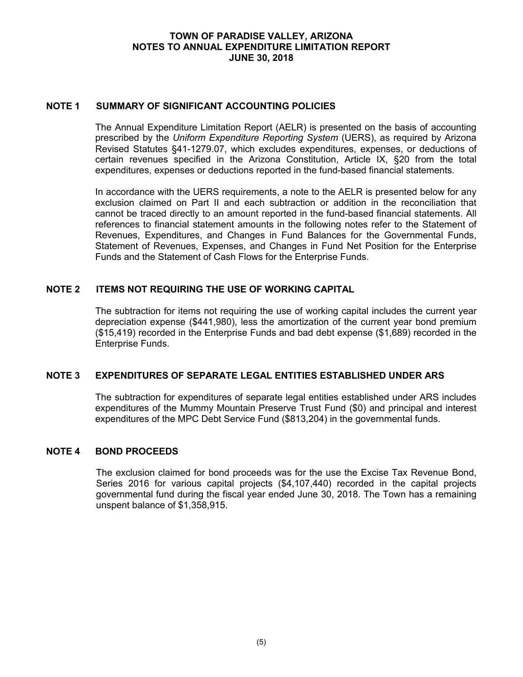#### **TOWN OF PARADISE VALLEY, ARIZONA NOTES TO ANNUAL EXPENDITURE LIMITATION REPORT JUNE 30, 2018**

#### **NOTE 1 SUMMARY OF SIGNIFICANT ACCOUNTING POLICIES**

The Annual Expenditure Limitation Report (AELR) is presented on the basis of accounting prescribed by the *Uniform Expenditure Reporting System* (UERS), as required by Arizona Revised Statutes §41-1279.07, which excludes expenditures, expenses, or deductions of certain revenues specified in the Arizona Constitution, Article IX, §20 from the total expenditures, expenses or deductions reported in the fund-based financial statements.

In accordance with the UERS requirements, a note to the AELR is presented below for any exclusion claimed on Part II and each subtraction or addition in the reconciliation that cannot be traced directly to an amount reported in the fund-based financial statements. All references to financial statement amounts in the following notes refer to the Statement of Revenues, Expenditures, and Changes in Fund Balances for the Governmental Funds, Statement of Revenues, Expenses, and Changes in Fund Net Position for the Enterprise Funds and the Statement of Cash Flows for the Enterprise Funds.

#### **NOTE 2 ITEMS NOT REQUIRING THE USE OF WORKING CAPITAL**

The subtraction for items not requiring the use of working capital includes the current year depreciation expense (\$441,980), less the amortization of the current year bond premium (\$15,419) recorded in the Enterprise Funds and bad debt expense (\$1,689) recorded in the Enterprise Funds.

#### **NOTE 3 EXPENDITURES OF SEPARATE LEGAL ENTITIES ESTABLISHED UNDER ARS**

The subtraction for expenditures of separate legal entities established under ARS includes expenditures of the Mummy Mountain Preserve Trust Fund (\$0) and principal and interest expenditures of the MPC Debt Service Fund (\$813,204) in the governmental funds.

#### **NOTE 4 BOND PROCEEDS**

The exclusion claimed for bond proceeds was for the use the Excise Tax Revenue Bond, Series 2016 for various capital projects (\$4,107,440) recorded in the capital projects governmental fund during the fiscal year ended June 30, 2018. The Town has a remaining unspent balance of \$1,358,915.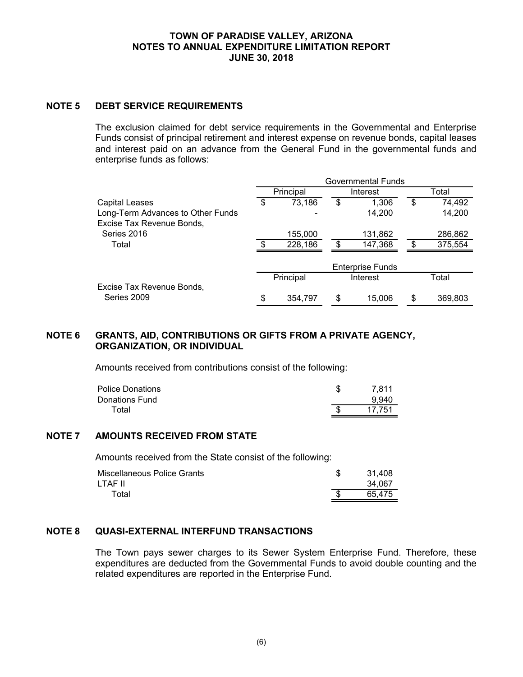#### **TOWN OF PARADISE VALLEY, ARIZONA NOTES TO ANNUAL EXPENDITURE LIMITATION REPORT JUNE 30, 2018**

## **NOTE 5 DEBT SERVICE REQUIREMENTS**

The exclusion claimed for debt service requirements in the Governmental and Enterprise Funds consist of principal retirement and interest expense on revenue bonds, capital leases and interest paid on an advance from the General Fund in the governmental funds and enterprise funds as follows:

|                                                                | Governmental Funds |           |          |                         |       |         |
|----------------------------------------------------------------|--------------------|-----------|----------|-------------------------|-------|---------|
|                                                                | Principal          |           | Interest |                         | Total |         |
| Capital Leases                                                 | \$                 | 73,186    | \$       | 1,306                   | \$    | 74,492  |
| Long-Term Advances to Other Funds<br>Excise Tax Revenue Bonds, |                    |           |          | 14,200                  |       | 14,200  |
| Series 2016                                                    |                    | 155,000   |          | 131,862                 |       | 286,862 |
| Total                                                          | -\$                | 228,186   | \$.      | 147,368                 | \$    | 375,554 |
|                                                                |                    |           |          | <b>Enterprise Funds</b> |       |         |
|                                                                |                    | Principal |          | Interest                |       | Total   |
| Excise Tax Revenue Bonds,                                      |                    |           |          |                         |       |         |
| Series 2009                                                    | \$                 | 354,797   | \$       | 15,006                  | \$    | 369,803 |

### **NOTE 6 GRANTS, AID, CONTRIBUTIONS OR GIFTS FROM A PRIVATE AGENCY, ORGANIZATION, OR INDIVIDUAL**

Amounts received from contributions consist of the following:

| <b>Police Donations</b> | 7.811  |
|-------------------------|--------|
| Donations Fund          | 9.940  |
| Total                   | 17.751 |

#### **NOTE 7 AMOUNTS RECEIVED FROM STATE**

Amounts received from the State consist of the following:

| Miscellaneous Police Grants | 31.408 |
|-----------------------------|--------|
| LTAF II                     | 34.067 |
| Total                       | 65.475 |

## **NOTE 8 QUASI-EXTERNAL INTERFUND TRANSACTIONS**

The Town pays sewer charges to its Sewer System Enterprise Fund. Therefore, these expenditures are deducted from the Governmental Funds to avoid double counting and the related expenditures are reported in the Enterprise Fund.